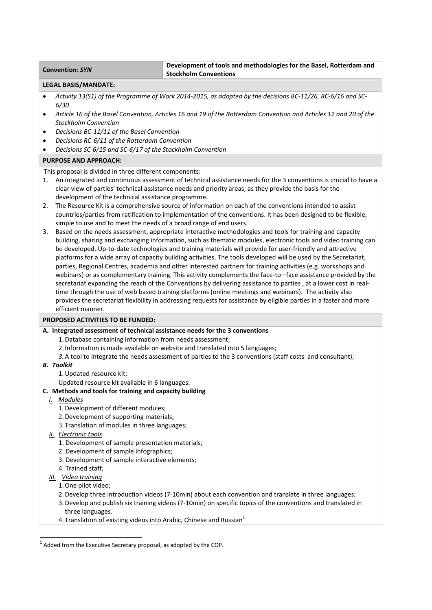### **Convention:** *SYN* **Development of tools and methodologies for the Basel, Rotterdam and Stockholm Conventions**

### **LEGAL BASIS/MANDATE:**

- Activity 13(S1) of the Programme of Work 2014-2015, as adopted by the decisions BC-11/26, RC-6/16 and SC-*6/30*
- Article 16 of the Basel Convention, Articles 16 and 19 of the Rotterdam Convention and Articles 12 and 20 of the *Stockholm Convention*
- *Decisions BC‐11/11 of the Basel Convention*
- *Decisions RC‐6/11 of the Rotterdam Convention*
- *Decisions SC‐6/15 and SC‐6/17 of the Stockholm Convention*

## **PURPOSE AND APPROACH:**

This proposal is divided in three different components:

- 1. An integrated and continuous assessment of technical assistance needs for the 3 conventions is crucial to have a clear view of parties' technical assistance needs and priority areas, as they provide the basis for the development of the technical assistance programme.
- 2. The Resource Kit is a comprehensive source of information on each of the conventions intended to assist countries/parties from ratification to implementation of the conventions. It has been designed to be flexible, simple to use and to meet the needs of a broad range of end users.
- 3. Based on the needs assessment, appropriate interactive methodologies and tools for training and capacity building, sharing and exchanging information, such as thematic modules, electronic tools and video training can be developed. Up-to-date technologies and training materials will provide for user-friendly and attractive platforms for a wide array of capacity building activities. The tools developed will be used by the Secretariat, parties, Regional Centres, academia and other interested partners for training activities (e.g. workshops and webinars) or as complementary training. This activity complements the face-to-face assistance provided by the secretariat expanding the reach of the Conventions by delivering assistance to parties, at a lower cost in realtime through the use of web based training platforms (online meetings and webinars). The activity also provides the secretariat flexibility in addressing requests for assistance by eligible parties in a faster and more efficient manner.

### **PROPOSED ACTIVITIES TO BE FUNDED:**

### **A. Integrated assessment of technical assistance needs for the 3 conventions**

- 1.Database containing information from needs assessment;
- 2. Information is made available on website and translated into 5 languages;
- *3.*A tool to integrate the needs assessment of parties to the 3 conventions (staff costs and consultant);

### *B. Toolkit*

- 1.Updated resource kit;
- Updated resource kit available in 6 languages.

### **C. Methods and tools for training and capacity building**

- *I. Modules*
	- 1.Development of different modules;
	- 2.Development of supporting materials;
	- 3. Translation of modules in three languages;
- *II. Electronic tools*
	- 1. Development of sample presentation materials;
	- 2. Development of sample infographics;
	- 3. Development of sample interactive elements;
	- 4. Trained staff;
- *III. Video training*
	- 1.One pilot video;
	- 2.Develop three introduction videos (7‐10min) about each convention and translate in three languages;
	- 3.Develop and publish six training videos (7‐10min) on specific topics of the conventions and translated in three languages.
	- 4. Translation of existing videos into Arabic, Chinese and Russian $<sup>1</sup>$ </sup>

  $1$  Added from the Executive Secretary proposal, as adopted by the COP.